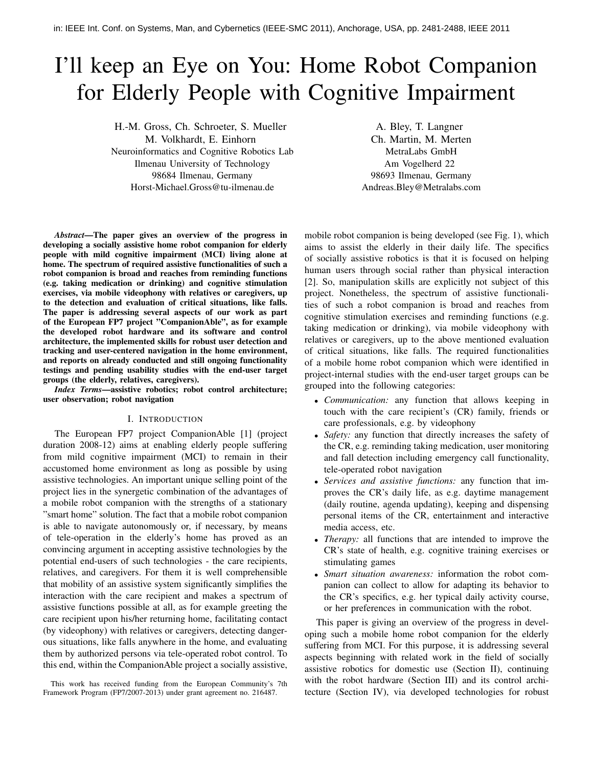# I'll keep an Eye on You: Home Robot Companion for Elderly People with Cognitive Impairment

H.-M. Gross, Ch. Schroeter, S. Mueller M. Volkhardt, E. Einhorn Neuroinformatics and Cognitive Robotics Lab Ilmenau University of Technology 98684 Ilmenau, Germany Horst-Michael.Gross@tu-ilmenau.de

A. Bley, T. Langner Ch. Martin, M. Merten MetraLabs GmbH Am Vogelherd 22 98693 Ilmenau, Germany Andreas.Bley@Metralabs.com

*Abstract*—The paper gives an overview of the progress in developing a socially assistive home robot companion for elderly people with mild cognitive impairment (MCI) living alone at home. The spectrum of required assistive functionalities of such a robot companion is broad and reaches from reminding functions (e.g. taking medication or drinking) and cognitive stimulation exercises, via mobile videophony with relatives or caregivers, up to the detection and evaluation of critical situations, like falls. The paper is addressing several aspects of our work as part of the European FP7 project "CompanionAble", as for example the developed robot hardware and its software and control architecture, the implemented skills for robust user detection and tracking and user-centered navigation in the home environment, and reports on already conducted and still ongoing functionality testings and pending usability studies with the end-user target groups (the elderly, relatives, caregivers).

*Index Terms*—assistive robotics; robot control architecture; user observation; robot navigation

### I. INTRODUCTION

The European FP7 project CompanionAble [1] (project duration 2008-12) aims at enabling elderly people suffering from mild cognitive impairment (MCI) to remain in their accustomed home environment as long as possible by using assistive technologies. An important unique selling point of the project lies in the synergetic combination of the advantages of a mobile robot companion with the strengths of a stationary "smart home" solution. The fact that a mobile robot companion is able to navigate autonomously or, if necessary, by means of tele-operation in the elderly's home has proved as an convincing argument in accepting assistive technologies by the potential end-users of such technologies - the care recipients, relatives, and caregivers. For them it is well comprehensible that mobility of an assistive system significantly simplifies the interaction with the care recipient and makes a spectrum of assistive functions possible at all, as for example greeting the care recipient upon his/her returning home, facilitating contact (by videophony) with relatives or caregivers, detecting dangerous situations, like falls anywhere in the home, and evaluating them by authorized persons via tele-operated robot control. To this end, within the CompanionAble project a socially assistive,

This work has received funding from the European Community's 7th Framework Program (FP7/2007-2013) under grant agreement no. 216487.

mobile robot companion is being developed (see Fig. 1), which aims to assist the elderly in their daily life. The specifics of socially assistive robotics is that it is focused on helping human users through social rather than physical interaction [2]. So, manipulation skills are explicitly not subject of this project. Nonetheless, the spectrum of assistive functionalities of such a robot companion is broad and reaches from cognitive stimulation exercises and reminding functions (e.g. taking medication or drinking), via mobile videophony with relatives or caregivers, up to the above mentioned evaluation of critical situations, like falls. The required functionalities of a mobile home robot companion which were identified in project-internal studies with the end-user target groups can be grouped into the following categories:

- *Communication:* any function that allows keeping in touch with the care recipient's (CR) family, friends or care professionals, e.g. by videophony
- *Safety:* any function that directly increases the safety of the CR, e.g. reminding taking medication, user monitoring and fall detection including emergency call functionality, tele-operated robot navigation
- *Services and assistive functions:* any function that improves the CR's daily life, as e.g. daytime management (daily routine, agenda updating), keeping and dispensing personal items of the CR, entertainment and interactive media access, etc.
- *Therapy:* all functions that are intended to improve the CR's state of health, e.g. cognitive training exercises or stimulating games
- *Smart situation awareness:* information the robot companion can collect to allow for adapting its behavior to the CR's specifics, e.g. her typical daily activity course, or her preferences in communication with the robot.

This paper is giving an overview of the progress in developing such a mobile home robot companion for the elderly suffering from MCI. For this purpose, it is addressing several aspects beginning with related work in the field of socially assistive robotics for domestic use (Section II), continuing with the robot hardware (Section III) and its control architecture (Section IV), via developed technologies for robust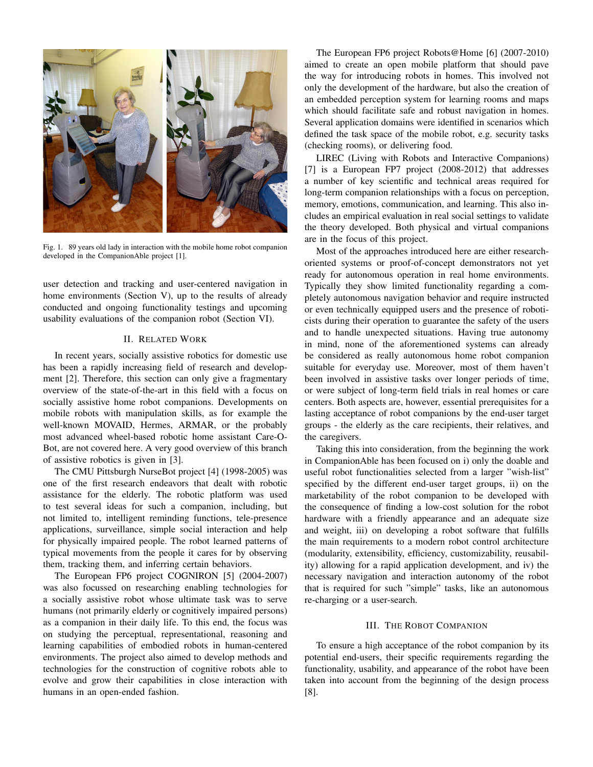

Fig. 1. 89 years old lady in interaction with the mobile home robot companion developed in the CompanionAble project [1].

user detection and tracking and user-centered navigation in home environments (Section V), up to the results of already conducted and ongoing functionality testings and upcoming usability evaluations of the companion robot (Section VI).

# II. RELATED WORK

In recent years, socially assistive robotics for domestic use has been a rapidly increasing field of research and development [2]. Therefore, this section can only give a fragmentary overview of the state-of-the-art in this field with a focus on socially assistive home robot companions. Developments on mobile robots with manipulation skills, as for example the well-known MOVAID, Hermes, ARMAR, or the probably most advanced wheel-based robotic home assistant Care-O-Bot, are not covered here. A very good overview of this branch of assistive robotics is given in [3].

The CMU Pittsburgh NurseBot project [4] (1998-2005) was one of the first research endeavors that dealt with robotic assistance for the elderly. The robotic platform was used to test several ideas for such a companion, including, but not limited to, intelligent reminding functions, tele-presence applications, surveillance, simple social interaction and help for physically impaired people. The robot learned patterns of typical movements from the people it cares for by observing them, tracking them, and inferring certain behaviors.

The European FP6 project COGNIRON [5] (2004-2007) was also focussed on researching enabling technologies for a socially assistive robot whose ultimate task was to serve humans (not primarily elderly or cognitively impaired persons) as a companion in their daily life. To this end, the focus was on studying the perceptual, representational, reasoning and learning capabilities of embodied robots in human-centered environments. The project also aimed to develop methods and technologies for the construction of cognitive robots able to evolve and grow their capabilities in close interaction with humans in an open-ended fashion.

The European FP6 project Robots@Home [6] (2007-2010) aimed to create an open mobile platform that should pave the way for introducing robots in homes. This involved not only the development of the hardware, but also the creation of an embedded perception system for learning rooms and maps which should facilitate safe and robust navigation in homes. Several application domains were identified in scenarios which defined the task space of the mobile robot, e.g. security tasks (checking rooms), or delivering food.

LIREC (Living with Robots and Interactive Companions) [7] is a European FP7 project (2008-2012) that addresses a number of key scientific and technical areas required for long-term companion relationships with a focus on perception, memory, emotions, communication, and learning. This also includes an empirical evaluation in real social settings to validate the theory developed. Both physical and virtual companions are in the focus of this project.

Most of the approaches introduced here are either researchoriented systems or proof-of-concept demonstrators not yet ready for autonomous operation in real home environments. Typically they show limited functionality regarding a completely autonomous navigation behavior and require instructed or even technically equipped users and the presence of roboticists during their operation to guarantee the safety of the users and to handle unexpected situations. Having true autonomy in mind, none of the aforementioned systems can already be considered as really autonomous home robot companion suitable for everyday use. Moreover, most of them haven't been involved in assistive tasks over longer periods of time, or were subject of long-term field trials in real homes or care centers. Both aspects are, however, essential prerequisites for a lasting acceptance of robot companions by the end-user target groups - the elderly as the care recipients, their relatives, and the caregivers.

Taking this into consideration, from the beginning the work in CompanionAble has been focused on i) only the doable and useful robot functionalities selected from a larger "wish-list" specified by the different end-user target groups, ii) on the marketability of the robot companion to be developed with the consequence of finding a low-cost solution for the robot hardware with a friendly appearance and an adequate size and weight, iii) on developing a robot software that fulfills the main requirements to a modern robot control architecture (modularity, extensibility, efficiency, customizability, reusability) allowing for a rapid application development, and iv) the necessary navigation and interaction autonomy of the robot that is required for such "simple" tasks, like an autonomous re-charging or a user-search.

# III. THE ROBOT COMPANION

To ensure a high acceptance of the robot companion by its potential end-users, their specific requirements regarding the functionality, usability, and appearance of the robot have been taken into account from the beginning of the design process [8].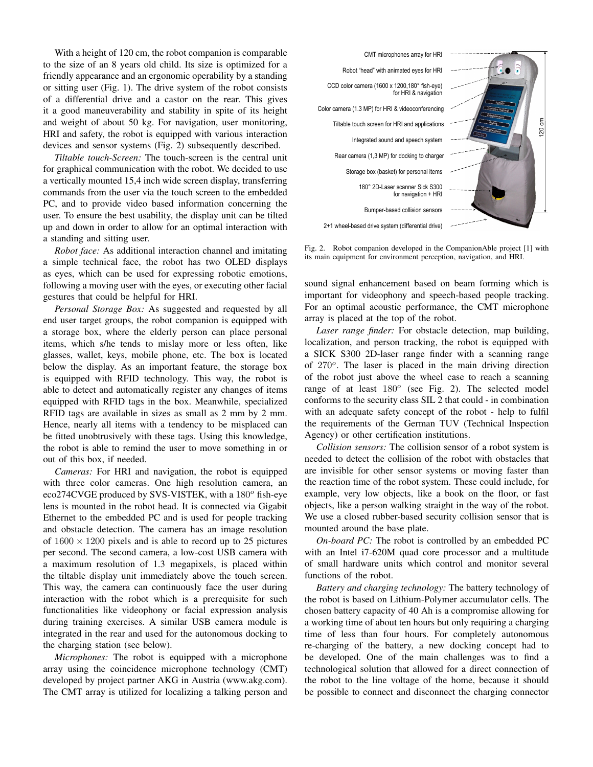With a height of 120 cm, the robot companion is comparable to the size of an 8 years old child. Its size is optimized for a friendly appearance and an ergonomic operability by a standing or sitting user (Fig. 1). The drive system of the robot consists of a differential drive and a castor on the rear. This gives it a good maneuverability and stability in spite of its height and weight of about 50 kg. For navigation, user monitoring, HRI and safety, the robot is equipped with various interaction devices and sensor systems (Fig. 2) subsequently described.

*Tiltable touch-Screen:* The touch-screen is the central unit for graphical communication with the robot. We decided to use a vertically mounted 15,4 inch wide screen display, transferring commands from the user via the touch screen to the embedded PC, and to provide video based information concerning the user. To ensure the best usability, the display unit can be tilted up and down in order to allow for an optimal interaction with a standing and sitting user.

*Robot face:* As additional interaction channel and imitating a simple technical face, the robot has two OLED displays as eyes, which can be used for expressing robotic emotions, following a moving user with the eyes, or executing other facial gestures that could be helpful for HRI.

*Personal Storage Box:* As suggested and requested by all end user target groups, the robot companion is equipped with a storage box, where the elderly person can place personal items, which s/he tends to mislay more or less often, like glasses, wallet, keys, mobile phone, etc. The box is located below the display. As an important feature, the storage box is equipped with RFID technology. This way, the robot is able to detect and automatically register any changes of items equipped with RFID tags in the box. Meanwhile, specialized RFID tags are available in sizes as small as 2 mm by 2 mm. Hence, nearly all items with a tendency to be misplaced can be fitted unobtrusively with these tags. Using this knowledge, the robot is able to remind the user to move something in or out of this box, if needed.

*Cameras:* For HRI and navigation, the robot is equipped with three color cameras. One high resolution camera, an eco274CVGE produced by SVS-VISTEK, with a 180° fish-eye lens is mounted in the robot head. It is connected via Gigabit Ethernet to the embedded PC and is used for people tracking and obstacle detection. The camera has an image resolution of  $1600 \times 1200$  pixels and is able to record up to 25 pictures per second. The second camera, a low-cost USB camera with a maximum resolution of 1.3 megapixels, is placed within the tiltable display unit immediately above the touch screen. This way, the camera can continuously face the user during interaction with the robot which is a prerequisite for such functionalities like videophony or facial expression analysis during training exercises. A similar USB camera module is integrated in the rear and used for the autonomous docking to the charging station (see below).

*Microphones:* The robot is equipped with a microphone array using the coincidence microphone technology (CMT) developed by project partner AKG in Austria (www.akg.com). The CMT array is utilized for localizing a talking person and



Fig. 2. Robot companion developed in the CompanionAble project [1] with its main equipment for environment perception, navigation, and HRI.

sound signal enhancement based on beam forming which is important for videophony and speech-based people tracking. For an optimal acoustic performance, the CMT microphone array is placed at the top of the robot.

*Laser range finder:* For obstacle detection, map building, localization, and person tracking, the robot is equipped with a SICK S300 2D-laser range finder with a scanning range of 270°. The laser is placed in the main driving direction of the robot just above the wheel case to reach a scanning range of at least  $180^{\circ}$  (see Fig. 2). The selected model conforms to the security class SIL 2 that could - in combination with an adequate safety concept of the robot - help to fulfil the requirements of the German TUV (Technical Inspection Agency) or other certification institutions.

*Collision sensors:* The collision sensor of a robot system is needed to detect the collision of the robot with obstacles that are invisible for other sensor systems or moving faster than the reaction time of the robot system. These could include, for example, very low objects, like a book on the floor, or fast objects, like a person walking straight in the way of the robot. We use a closed rubber-based security collision sensor that is mounted around the base plate.

*On-board PC:* The robot is controlled by an embedded PC with an Intel i7-620M quad core processor and a multitude of small hardware units which control and monitor several functions of the robot.

*Battery and charging technology:* The battery technology of the robot is based on Lithium-Polymer accumulator cells. The chosen battery capacity of 40 Ah is a compromise allowing for a working time of about ten hours but only requiring a charging time of less than four hours. For completely autonomous re-charging of the battery, a new docking concept had to be developed. One of the main challenges was to find a technological solution that allowed for a direct connection of the robot to the line voltage of the home, because it should be possible to connect and disconnect the charging connector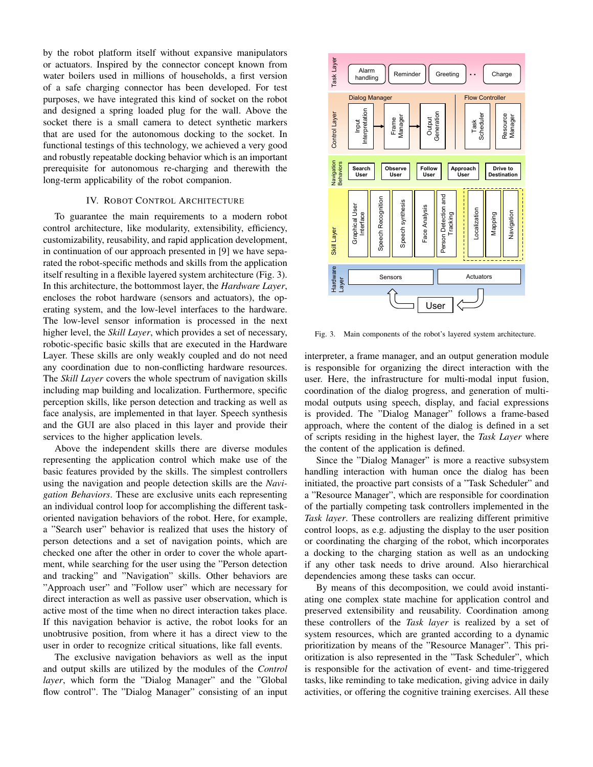by the robot platform itself without expansive manipulators or actuators. Inspired by the connector concept known from water boilers used in millions of households, a first version of a safe charging connector has been developed. For test purposes, we have integrated this kind of socket on the robot and designed a spring loaded plug for the wall. Above the socket there is a small camera to detect synthetic markers that are used for the autonomous docking to the socket. In functional testings of this technology, we achieved a very good and robustly repeatable docking behavior which is an important prerequisite for autonomous re-charging and therewith the long-term applicability of the robot companion.

# IV. ROBOT CONTROL ARCHITECTURE

To guarantee the main requirements to a modern robot control architecture, like modularity, extensibility, efficiency, customizability, reusability, and rapid application development, in continuation of our approach presented in [9] we have separated the robot-specific methods and skills from the application itself resulting in a flexible layered system architecture (Fig. 3). In this architecture, the bottommost layer, the *Hardware Layer*, encloses the robot hardware (sensors and actuators), the operating system, and the low-level interfaces to the hardware. The low-level sensor information is processed in the next higher level, the *Skill Layer*, which provides a set of necessary, robotic-specific basic skills that are executed in the Hardware Layer. These skills are only weakly coupled and do not need any coordination due to non-conflicting hardware resources. The *Skill Layer* covers the whole spectrum of navigation skills including map building and localization. Furthermore, specific perception skills, like person detection and tracking as well as face analysis, are implemented in that layer. Speech synthesis and the GUI are also placed in this layer and provide their services to the higher application levels.

Above the independent skills there are diverse modules representing the application control which make use of the basic features provided by the skills. The simplest controllers using the navigation and people detection skills are the *Navigation Behaviors*. These are exclusive units each representing an individual control loop for accomplishing the different taskoriented navigation behaviors of the robot. Here, for example, a "Search user" behavior is realized that uses the history of person detections and a set of navigation points, which are checked one after the other in order to cover the whole apartment, while searching for the user using the "Person detection and tracking" and "Navigation" skills. Other behaviors are "Approach user" and "Follow user" which are necessary for direct interaction as well as passive user observation, which is active most of the time when no direct interaction takes place. If this navigation behavior is active, the robot looks for an unobtrusive position, from where it has a direct view to the user in order to recognize critical situations, like fall events.

The exclusive navigation behaviors as well as the input and output skills are utilized by the modules of the *Control layer*, which form the "Dialog Manager" and the "Global flow control". The "Dialog Manager" consisting of an input



Fig. 3. Main components of the robot's layered system architecture.

interpreter, a frame manager, and an output generation module is responsible for organizing the direct interaction with the user. Here, the infrastructure for multi-modal input fusion, coordination of the dialog progress, and generation of multimodal outputs using speech, display, and facial expressions is provided. The "Dialog Manager" follows a frame-based approach, where the content of the dialog is defined in a set of scripts residing in the highest layer, the *Task Layer* where the content of the application is defined.

Since the "Dialog Manager" is more a reactive subsystem handling interaction with human once the dialog has been initiated, the proactive part consists of a "Task Scheduler" and a "Resource Manager", which are responsible for coordination of the partially competing task controllers implemented in the *Task layer*. These controllers are realizing different primitive control loops, as e.g. adjusting the display to the user position or coordinating the charging of the robot, which incorporates a docking to the charging station as well as an undocking if any other task needs to drive around. Also hierarchical dependencies among these tasks can occur.

By means of this decomposition, we could avoid instantiating one complex state machine for application control and preserved extensibility and reusability. Coordination among these controllers of the *Task layer* is realized by a set of system resources, which are granted according to a dynamic prioritization by means of the "Resource Manager". This prioritization is also represented in the "Task Scheduler", which is responsible for the activation of event- and time-triggered tasks, like reminding to take medication, giving advice in daily activities, or offering the cognitive training exercises. All these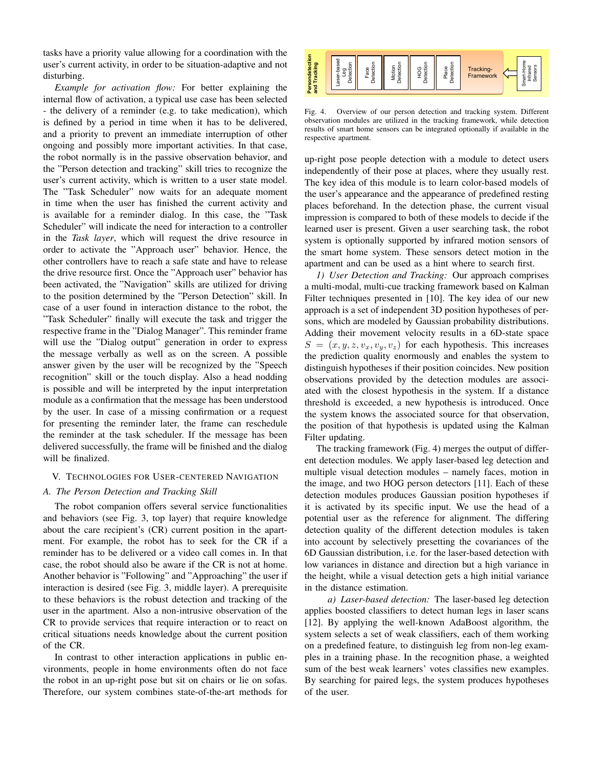tasks have a priority value allowing for a coordination with the user's current activity, in order to be situation-adaptive and not disturbing.

*Example for activation flow:* For better explaining the internal flow of activation, a typical use case has been selected - the delivery of a reminder (e.g. to take medication), which is defined by a period in time when it has to be delivered, and a priority to prevent an immediate interruption of other ongoing and possibly more important activities. In that case, the robot normally is in the passive observation behavior, and the "Person detection and tracking" skill tries to recognize the user's current activity, which is written to a user state model. The "Task Scheduler" now waits for an adequate moment in time when the user has finished the current activity and is available for a reminder dialog. In this case, the "Task Scheduler" will indicate the need for interaction to a controller in the *Task layer*, which will request the drive resource in order to activate the "Approach user" behavior. Hence, the other controllers have to reach a safe state and have to release the drive resource first. Once the "Approach user" behavior has been activated, the "Navigation" skills are utilized for driving to the position determined by the "Person Detection" skill. In case of a user found in interaction distance to the robot, the "Task Scheduler" finally will execute the task and trigger the respective frame in the "Dialog Manager". This reminder frame will use the "Dialog output" generation in order to express the message verbally as well as on the screen. A possible answer given by the user will be recognized by the "Speech recognition" skill or the touch display. Also a head nodding is possible and will be interpreted by the input interpretation module as a confirmation that the message has been understood by the user. In case of a missing confirmation or a request for presenting the reminder later, the frame can reschedule the reminder at the task scheduler. If the message has been delivered successfully, the frame will be finished and the dialog will be finalized. Leg That is entered to be situation adoptive and not a state-of-the-art methods for the compile for arrivanoine point in Equation Equation in the distance of the remaining the original in the distance of a combine of arch

# V. TECHNOLOGIES FOR USER-CENTERED NAVIGATION

# *A. The Person Detection and Tracking Skill*

The robot companion offers several service functionalities and behaviors (see Fig. 3, top layer) that require knowledge about the care recipient's (CR) current position in the apartment. For example, the robot has to seek for the CR if a reminder has to be delivered or a video call comes in. In that case, the robot should also be aware if the CR is not at home. Another behavior is "Following" and "Approaching" the user if interaction is desired (see Fig. 3, middle layer). A prerequisite to these behaviors is the robust detection and tracking of the user in the apartment. Also a non-intrusive observation of the CR to provide services that require interaction or to react on critical situations needs knowledge about the current position of the CR.

In contrast to other interaction applications in public environments, people in home environments often do not face the robot in an up-right pose but sit on chairs or lie on sofas.



Fig. 4. Overview of our person detection and tracking system. Different observation modules are utilized in the tracking framework, while detection results of smart home sensors can be integrated optionally if available in the respective apartment.

up-right pose people detection with a module to detect users independently of their pose at places, where they usually rest. The key idea of this module is to learn color-based models of the user's appearance and the appearance of predefined resting places beforehand. In the detection phase, the current visual impression is compared to both of these models to decide if the learned user is present. Given a user searching task, the robot system is optionally supported by infrared motion sensors of the smart home system. These sensors detect motion in the apartment and can be used as a hint where to search first.

*1) User Detection and Tracking:* Our approach comprises a multi-modal, multi-cue tracking framework based on Kalman Filter techniques presented in [10]. The key idea of our new approach is a set of independent 3D position hypotheses of persons, which are modeled by Gaussian probability distributions. Adding their movement velocity results in a 6D-state space  $S = (x, y, z, v_x, v_y, v_z)$  for each hypothesis. This increases the prediction quality enormously and enables the system to distinguish hypotheses if their position coincides. New position observations provided by the detection modules are associated with the closest hypothesis in the system. If a distance threshold is exceeded, a new hypothesis is introduced. Once the system knows the associated source for that observation, the position of that hypothesis is updated using the Kalman Filter updating.

The tracking framework (Fig. 4) merges the output of different detection modules. We apply laser-based leg detection and multiple visual detection modules – namely faces, motion in the image, and two HOG person detectors [11]. Each of these detection modules produces Gaussian position hypotheses if it is activated by its specific input. We use the head of a potential user as the reference for alignment. The differing detection quality of the different detection modules is taken into account by selectively presetting the covariances of the 6D Gaussian distribution, i.e. for the laser-based detection with low variances in distance and direction but a high variance in the height, while a visual detection gets a high initial variance in the distance estimation.

*a) Laser-based detection:* The laser-based leg detection applies boosted classifiers to detect human legs in laser scans [12]. By applying the well-known AdaBoost algorithm, the system selects a set of weak classifiers, each of them working on a predefined feature, to distinguish leg from non-leg examples in a training phase. In the recognition phase, a weighted sum of the best weak learners' votes classifies new examples. By searching for paired legs, the system produces hypotheses of the user.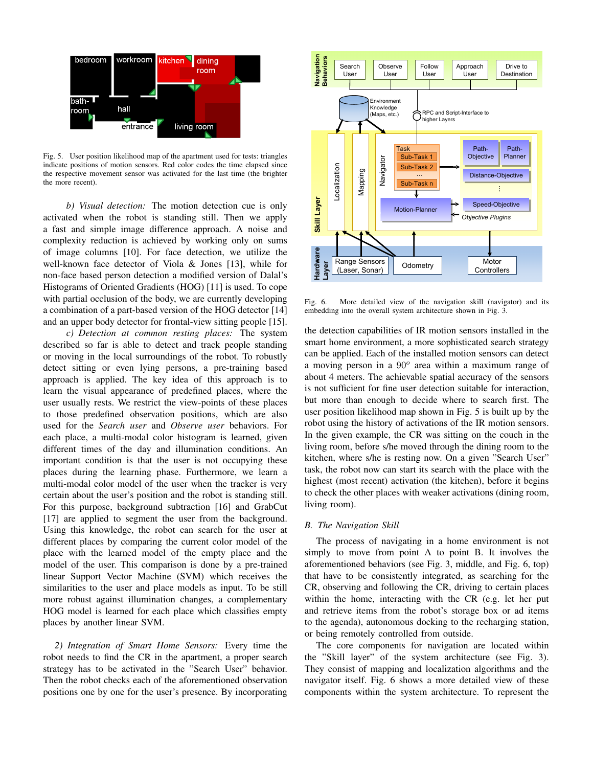

Fig. 5. User position likelihood map of the apartment used for tests: triangles indicate positions of motion sensors. Red color codes the time elapsed since the respective movement sensor was activated for the last time (the brighter the more recent).

*b) Visual detection:* The motion detection cue is only activated when the robot is standing still. Then we apply a fast and simple image difference approach. A noise and complexity reduction is achieved by working only on sums of image columns [10]. For face detection, we utilize the well-known face detector of Viola & Jones [13], while for non-face based person detection a modified version of Dalal's Histograms of Oriented Gradients (HOG) [11] is used. To cope with partial occlusion of the body, we are currently developing a combination of a part-based version of the HOG detector [14] and an upper body detector for frontal-view sitting people [15].

*c) Detection at common resting places:* The system described so far is able to detect and track people standing or moving in the local surroundings of the robot. To robustly detect sitting or even lying persons, a pre-training based approach is applied. The key idea of this approach is to learn the visual appearance of predefined places, where the user usually rests. We restrict the view-points of these places to those predefined observation positions, which are also used for the *Search user* and *Observe user* behaviors. For each place, a multi-modal color histogram is learned, given different times of the day and illumination conditions. An important condition is that the user is not occupying these places during the learning phase. Furthermore, we learn a multi-modal color model of the user when the tracker is very certain about the user's position and the robot is standing still. For this purpose, background subtraction [16] and GrabCut [17] are applied to segment the user from the background. Using this knowledge, the robot can search for the user at different places by comparing the current color model of the place with the learned model of the empty place and the model of the user. This comparison is done by a pre-trained linear Support Vector Machine (SVM) which receives the similarities to the user and place models as input. To be still more robust against illumination changes, a complementary HOG model is learned for each place which classifies empty places by another linear SVM.

*2) Integration of Smart Home Sensors:* Every time the robot needs to find the CR in the apartment, a proper search strategy has to be activated in the "Search User" behavior. Then the robot checks each of the aforementioned observation positions one by one for the user's presence. By incorporating



Fig. 6. More detailed view of the navigation skill (navigator) and its embedding into the overall system architecture shown in Fig. 3.

the detection capabilities of IR motion sensors installed in the smart home environment, a more sophisticated search strategy can be applied. Each of the installed motion sensors can detect a moving person in a  $90^{\circ}$  area within a maximum range of about 4 meters. The achievable spatial accuracy of the sensors is not sufficient for fine user detection suitable for interaction, but more than enough to decide where to search first. The user position likelihood map shown in Fig. 5 is built up by the robot using the history of activations of the IR motion sensors. In the given example, the CR was sitting on the couch in the living room, before s/he moved through the dining room to the kitchen, where s/he is resting now. On a given "Search User" task, the robot now can start its search with the place with the highest (most recent) activation (the kitchen), before it begins to check the other places with weaker activations (dining room, living room).

#### *B. The Navigation Skill*

The process of navigating in a home environment is not simply to move from point A to point B. It involves the aforementioned behaviors (see Fig. 3, middle, and Fig. 6, top) that have to be consistently integrated, as searching for the CR, observing and following the CR, driving to certain places within the home, interacting with the CR (e.g. let her put and retrieve items from the robot's storage box or ad items to the agenda), autonomous docking to the recharging station, or being remotely controlled from outside.

The core components for navigation are located within the "Skill layer" of the system architecture (see Fig. 3). They consist of mapping and localization algorithms and the navigator itself. Fig. 6 shows a more detailed view of these components within the system architecture. To represent the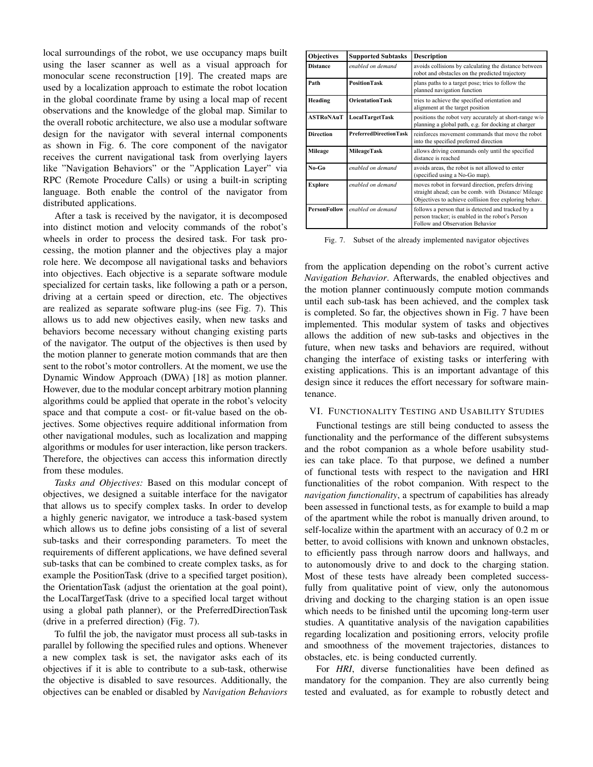local surroundings of the robot, we use occupancy maps built using the laser scanner as well as a visual approach for monocular scene reconstruction [19]. The created maps are used by a localization approach to estimate the robot location in the global coordinate frame by using a local map of recent observations and the knowledge of the global map. Similar to the overall robotic architecture, we also use a modular software design for the navigator with several internal components as shown in Fig. 6. The core component of the navigator receives the current navigational task from overlying layers like "Navigation Behaviors" or the "Application Layer" via RPC (Remote Procedure Calls) or using a built-in scripting language. Both enable the control of the navigator from distributed applications.

After a task is received by the navigator, it is decomposed into distinct motion and velocity commands of the robot's wheels in order to process the desired task. For task processing, the motion planner and the objectives play a major role here. We decompose all navigational tasks and behaviors into objectives. Each objective is a separate software module specialized for certain tasks, like following a path or a person, driving at a certain speed or direction, etc. The objectives are realized as separate software plug-ins (see Fig. 7). This allows us to add new objectives easily, when new tasks and behaviors become necessary without changing existing parts of the navigator. The output of the objectives is then used by the motion planner to generate motion commands that are then sent to the robot's motor controllers. At the moment, we use the Dynamic Window Approach (DWA) [18] as motion planner. However, due to the modular concept arbitrary motion planning algorithms could be applied that operate in the robot's velocity space and that compute a cost- or fit-value based on the objectives. Some objectives require additional information from other navigational modules, such as localization and mapping algorithms or modules for user interaction, like person trackers. Therefore, the objectives can access this information directly from these modules.

*Tasks and Objectives:* Based on this modular concept of objectives, we designed a suitable interface for the navigator that allows us to specify complex tasks. In order to develop a highly generic navigator, we introduce a task-based system which allows us to define jobs consisting of a list of several sub-tasks and their corresponding parameters. To meet the requirements of different applications, we have defined several sub-tasks that can be combined to create complex tasks, as for example the PositionTask (drive to a specified target position), the OrientationTask (adjust the orientation at the goal point), the LocalTargetTask (drive to a specified local target without using a global path planner), or the PreferredDirectionTask (drive in a preferred direction) (Fig. 7).

To fulfil the job, the navigator must process all sub-tasks in parallel by following the specified rules and options. Whenever a new complex task is set, the navigator asks each of its objectives if it is able to contribute to a sub-task, otherwise the objective is disabled to save resources. Additionally, the objectives can be enabled or disabled by *Navigation Behaviors*

| <b>Objectives</b>   | <b>Supported Subtasks</b>     | <b>Description</b>                                                                                                                                               |
|---------------------|-------------------------------|------------------------------------------------------------------------------------------------------------------------------------------------------------------|
| <b>Distance</b>     | enabled on demand             | avoids collisions by calculating the distance between<br>robot and obstacles on the predicted trajectory                                                         |
| Path                | <b>PositionTask</b>           | plans paths to a target pose; tries to follow the<br>planned navigation function                                                                                 |
| Heading             | <b>OrientationTask</b>        | tries to achieve the specified orientation and<br>alignment at the target position                                                                               |
| <b>ASTRoNAuT</b>    | LocalTargetTask               | positions the robot very accurately at short-range w/o<br>planning a global path, e.g. for docking at charger                                                    |
| <b>Direction</b>    | <b>PreferredDirectionTask</b> | reinforces movement commands that move the robot<br>into the specified preferred direction                                                                       |
| Mileage             | MileageTask                   | allows driving commands only until the specified<br>distance is reached                                                                                          |
| No-Go               | enabled on demand             | avoids areas, the robot is not allowed to enter<br>(specified using a No-Go map).                                                                                |
| <b>Explore</b>      | enabled on demand             | moves robot in forward direction, prefers driving<br>straight ahead; can be comb. with Distance/Mileage<br>Objectives to achieve collision free exploring behav. |
| <b>PersonFollow</b> | enabled on demand             | follows a person that is detected and tracked by a<br>person tracker; is enabled in the robot's Person<br>Follow and Observation Behavior                        |

Fig. 7. Subset of the already implemented navigator objectives

from the application depending on the robot's current active *Navigation Behavior*. Afterwards, the enabled objectives and the motion planner continuously compute motion commands until each sub-task has been achieved, and the complex task is completed. So far, the objectives shown in Fig. 7 have been implemented. This modular system of tasks and objectives allows the addition of new sub-tasks and objectives in the future, when new tasks and behaviors are required, without changing the interface of existing tasks or interfering with existing applications. This is an important advantage of this design since it reduces the effort necessary for software maintenance.

# VI. FUNCTIONALITY TESTING AND USABILITY STUDIES

Functional testings are still being conducted to assess the functionality and the performance of the different subsystems and the robot companion as a whole before usability studies can take place. To that purpose, we defined a number of functional tests with respect to the navigation and HRI functionalities of the robot companion. With respect to the *navigation functionality*, a spectrum of capabilities has already been assessed in functional tests, as for example to build a map of the apartment while the robot is manually driven around, to self-localize within the apartment with an accuracy of 0.2 m or better, to avoid collisions with known and unknown obstacles, to efficiently pass through narrow doors and hallways, and to autonomously drive to and dock to the charging station. Most of these tests have already been completed successfully from qualitative point of view, only the autonomous driving and docking to the charging station is an open issue which needs to be finished until the upcoming long-term user studies. A quantitative analysis of the navigation capabilities regarding localization and positioning errors, velocity profile and smoothness of the movement trajectories, distances to obstacles, etc. is being conducted currently.

For *HRI*, diverse functionalities have been defined as mandatory for the companion. They are also currently being tested and evaluated, as for example to robustly detect and